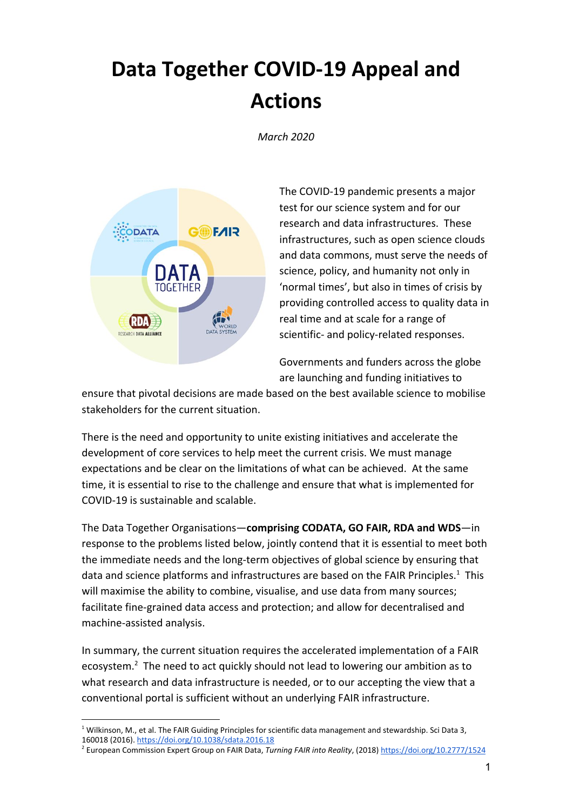## **Data Together COVID-19 Appeal and Actions**

*March 2020*



The COVID-19 pandemic presents a major test for our science system and for our research and data infrastructures. These infrastructures, such as open science clouds and data commons, must serve the needs of science, policy, and humanity not only in 'normal times', but also in times of crisis by providing controlled access to quality data in real time and at scale for a range of scientific- and policy-related responses.

Governments and funders across the globe are launching and funding initiatives to

ensure that pivotal decisions are made based on the best available science to mobilise stakeholders for the current situation.

There is the need and opportunity to unite existing initiatives and accelerate the development of core services to help meet the current crisis. We must manage expectations and be clear on the limitations of what can be achieved. At the same time, it is essential to rise to the challenge and ensure that what is implemented for COVID-19 is sustainable and scalable.

The Data Together Organisations—**comprising CODATA, GO FAIR, RDA and WDS**—in response to the problems listed below, jointly contend that it is essential to meet both the immediate needs and the long-term objectives of global science by ensuring that data and science platforms and infrastructures are based on the FAIR Principles.<sup>1</sup> This will maximise the ability to combine, visualise, and use data from many sources; facilitate fine-grained data access and protection; and allow for decentralised and machine-assisted analysis.

In summary, the current situation requires the accelerated implementation of a FAIR ecosystem. $^2$  The need to act quickly should not lead to lowering our ambition as to what research and data infrastructure is needed, or to our accepting the view that a conventional portal is sufficient without an underlying FAIR infrastructure.

<sup>&</sup>lt;sup>1</sup> Wilkinson, M., et al. The FAIR Guiding Principles for scientific data management and stewardship. Sci Data 3, 160018 (2016). <https://doi.org/10.1038/sdata.2016.18>

<sup>2</sup> European Commission Expert Group on FAIR Data, *Turning FAIR into Reality*, (2018)<https://doi.org/10.2777/1524>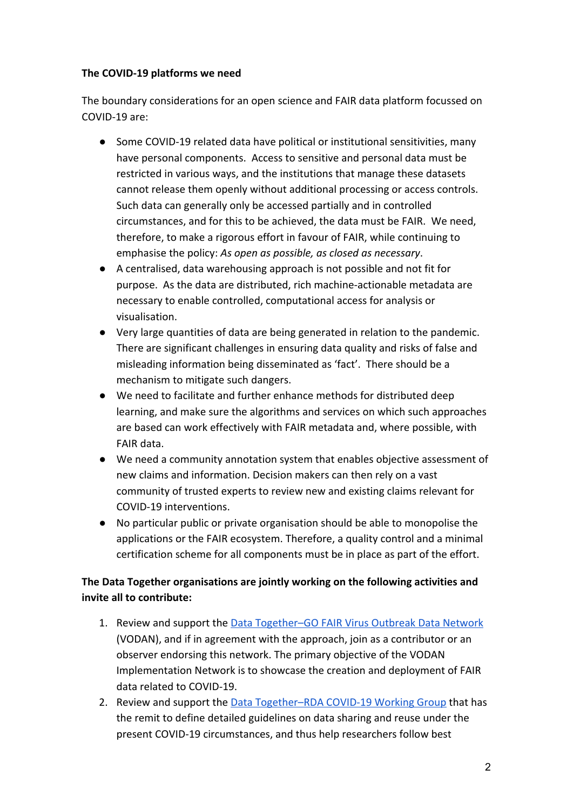## **The COVID-19 platforms we need**

The boundary considerations for an open science and FAIR data platform focussed on COVID-19 are:

- Some COVID-19 related data have political or institutional sensitivities, many have personal components. Access to sensitive and personal data must be restricted in various ways, and the institutions that manage these datasets cannot release them openly without additional processing or access controls. Such data can generally only be accessed partially and in controlled circumstances, and for this to be achieved, the data must be FAIR. We need, therefore, to make a rigorous effort in favour of FAIR, while continuing to emphasise the policy: *As open as possible, as closed as necessary*.
- A centralised, data warehousing approach is not possible and not fit for purpose. As the data are distributed, rich machine-actionable metadata are necessary to enable controlled, computational access for analysis or visualisation.
- Very large quantities of data are being generated in relation to the pandemic. There are significant challenges in ensuring data quality and risks of false and misleading information being disseminated as 'fact'. There should be a mechanism to mitigate such dangers.
- We need to facilitate and further enhance methods for distributed deep learning, and make sure the algorithms and services on which such approaches are based can work effectively with FAIR metadata and, where possible, with FAIR data.
- We need a community annotation system that enables objective assessment of new claims and information. Decision makers can then rely on a vast community of trusted experts to review new and existing claims relevant for COVID-19 interventions.
- No particular public or private organisation should be able to monopolise the applications or the FAIR ecosystem. Therefore, a quality control and a minimal certification scheme for all components must be in place as part of the effort.

## **The Data Together organisations are jointly working on the following activities and invite all to contribute:**

- 1. Review and support the Data Together-GO FAIR Virus Outbreak Data Network (VODAN), and if in agreement with the approach, join as a contributor or an observer endorsing this network. The primary objective of the VODAN Implementation Network is to showcase the creation and deployment of FAIR data related to COVID-19.
- 2. Review and support the Data Together-RDA COVID-19 Working Group that has the remit to define detailed guidelines on data sharing and reuse under the present COVID-19 circumstances, and thus help researchers follow best